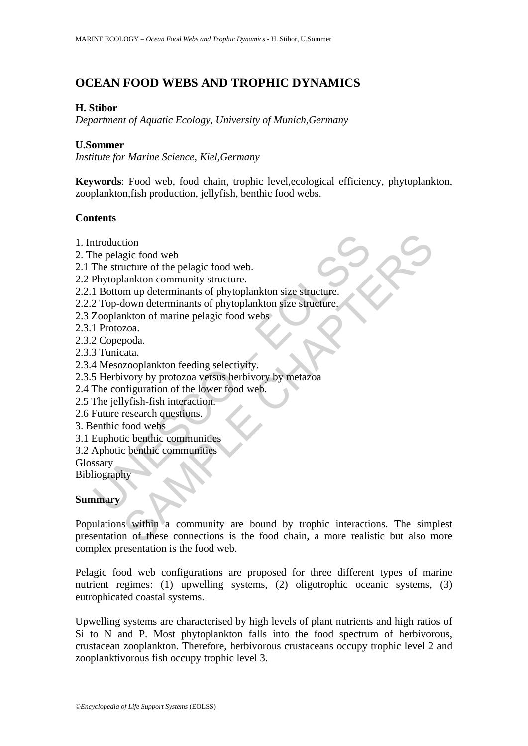# **OCEAN FOOD WEBS AND TROPHIC DYNAMICS**

### **H. Stibor**

*Department of Aquatic Ecology, University of Munich,Germany* 

#### **U.Sommer**

*Institute for Marine Science, Kiel,Germany* 

**Keywords**: Food web, food chain, trophic level,ecological efficiency, phytoplankton, zooplankton,fish production, jellyfish, benthic food webs.

### **Contents**

- 1. Introduction
- 2. The pelagic food web
- 2.1 The structure of the pelagic food web.
- 2.2 Phytoplankton community structure.
- 2.2.1 Bottom up determinants of phytoplankton size structure.
- ntroduction<br>
he pelagic food web<br>
The structure of the pelagic food web.<br>
Phytoplankton community structure.<br>
I Bottom up determinants of phytoplankton size structure.<br>
2 Top-down determinants of phytoplankton size structu 2.2.2 Top-down determinants of phytoplankton size structure.
- 2.3 Zooplankton of marine pelagic food webs
- 2.3.1 Protozoa.
- 2.3.2 Copepoda.
- 2.3.3 Tunicata.
- 2.3.4 Mesozooplankton feeding selectivity.
- 2.3.5 Herbivory by protozoa versus herbivory by metazoa
- 2.4 The configuration of the lower food web.
- 2.5 The jellyfish-fish interaction.
- 2.6 Future research questions.
- 3. Benthic food webs
- 3.1 Euphotic benthic communities
- 3.2 Aphotic benthic communities

Glossary

Bibliography

### **Summary**

tion<br>
sucure of the pelagic food web.<br>
lankton community structure.<br>
lankton community structure.<br>
mup determinants of phytoplankton size structure.<br>
About determinants of phytoplankton size structure.<br>
zoa.<br>
zoa.<br>
zoa.<br>
z Populations within a community are bound by trophic interactions. The simplest presentation of these connections is the food chain, a more realistic but also more complex presentation is the food web.

Pelagic food web configurations are proposed for three different types of marine nutrient regimes: (1) upwelling systems, (2) oligotrophic oceanic systems, (3) eutrophicated coastal systems.

Upwelling systems are characterised by high levels of plant nutrients and high ratios of Si to N and P. Most phytoplankton falls into the food spectrum of herbivorous, crustacean zooplankton. Therefore, herbivorous crustaceans occupy trophic level 2 and zooplanktivorous fish occupy trophic level 3.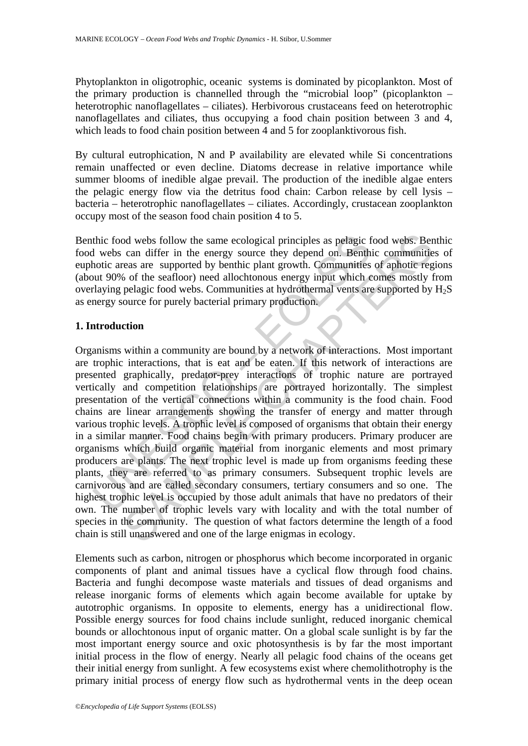Phytoplankton in oligotrophic, oceanic systems is dominated by picoplankton. Most of the primary production is channelled through the "microbial loop" (picoplankton – heterotrophic nanoflagellates – ciliates). Herbivorous crustaceans feed on heterotrophic nanoflagellates and ciliates, thus occupying a food chain position between 3 and 4, which leads to food chain position between 4 and 5 for zooplanktivorous fish.

By cultural eutrophication, N and P availability are elevated while Si concentrations remain unaffected or even decline. Diatoms decrease in relative importance while summer blooms of inedible algae prevail. The production of the inedible algae enters the pelagic energy flow via the detritus food chain: Carbon release by cell lysis – bacteria – heterotrophic nanoflagellates – ciliates. Accordingly, crustacean zooplankton occupy most of the season food chain position 4 to 5.

Benthic food webs follow the same ecological principles as pelagic food webs. Benthic food webs can differ in the energy source they depend on. Benthic communities of euphotic areas are supported by benthic plant growth. Communities of aphotic regions (about 90% of the seafloor) need allochtonous energy input which comes mostly from overlaying pelagic food webs. Communities at hydrothermal vents are supported by  $H_2S$ as energy source for purely bacterial primary production.

### **1. Introduction**

thic food webs follow the same ecological principles as pelagic provides an differ in the energy source they depend on. Benth hotic areas are supported by benthic plant growth. Communities out 90% of the seafloor) need all or webs follow the same ecological principles as pelagic food webs. Ber<br>can differ in the energy source they depend on. Benthic communities<br>cas are supported by benthic plant growth. Communities of aphotic regar<br>of of the Organisms within a community are bound by a network of interactions. Most important are trophic interactions, that is eat and be eaten. If this network of interactions are presented graphically, predator-prey interactions of trophic nature are portrayed vertically and competition relationships are portrayed horizontally. The simplest presentation of the vertical connections within a community is the food chain. Food chains are linear arrangements showing the transfer of energy and matter through various trophic levels. A trophic level is composed of organisms that obtain their energy in a similar manner. Food chains begin with primary producers. Primary producer are organisms which build organic material from inorganic elements and most primary producers are plants. The next trophic level is made up from organisms feeding these plants, they are referred to as primary consumers. Subsequent trophic levels are carnivorous and are called secondary consumers, tertiary consumers and so one. The highest trophic level is occupied by those adult animals that have no predators of their own. The number of trophic levels vary with locality and with the total number of species in the community. The question of what factors determine the length of a food chain is still unanswered and one of the large enigmas in ecology.

Elements such as carbon, nitrogen or phosphorus which become incorporated in organic components of plant and animal tissues have a cyclical flow through food chains. Bacteria and funghi decompose waste materials and tissues of dead organisms and release inorganic forms of elements which again become available for uptake by autotrophic organisms. In opposite to elements, energy has a unidirectional flow. Possible energy sources for food chains include sunlight, reduced inorganic chemical bounds or allochtonous input of organic matter. On a global scale sunlight is by far the most important energy source and oxic photosynthesis is by far the most important initial process in the flow of energy. Nearly all pelagic food chains of the oceans get their initial energy from sunlight. A few ecosystems exist where chemolithotrophy is the primary initial process of energy flow such as hydrothermal vents in the deep ocean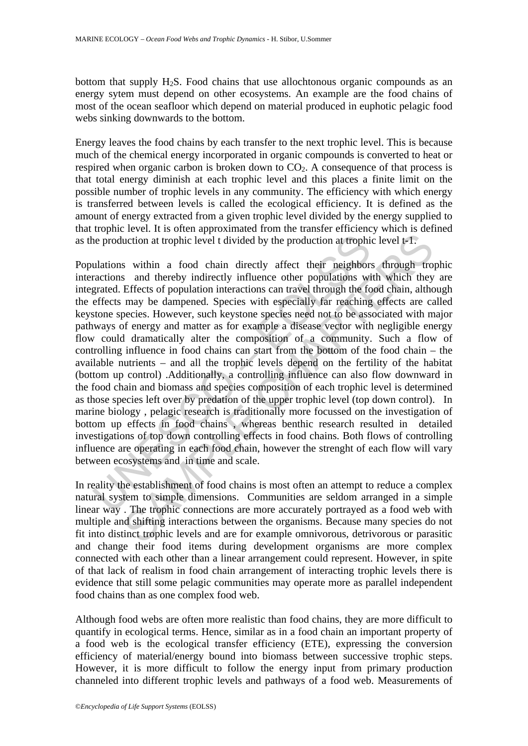bottom that supply H2S. Food chains that use allochtonous organic compounds as an energy sytem must depend on other ecosystems. An example are the food chains of most of the ocean seafloor which depend on material produced in euphotic pelagic food webs sinking downwards to the bottom.

Energy leaves the food chains by each transfer to the next trophic level. This is because much of the chemical energy incorporated in organic compounds is converted to heat or respired when organic carbon is broken down to  $CO<sub>2</sub>$ . A consequence of that process is that total energy diminish at each trophic level and this places a finite limit on the possible number of trophic levels in any community. The efficiency with which energy is transferred between levels is called the ecological efficiency. It is defined as the amount of energy extracted from a given trophic level divided by the energy supplied to that trophic level. It is often approximated from the transfer efficiency which is defined as the production at trophic level t divided by the production at trophic level t-1.

interiors and the mediation of four density of four several energy the energy and several symbol and the respections and thereby indirectly affect their neighbors with a<br>grandcons and thereby indirectly influence other pop uction at trophic level t divided by the production at trophic level t-1.<br>
s within a food chain directly affect their neighbors through tro<br>
s and thereby indirectly influence other populations with which they<br>
Effects of Populations within a food chain directly affect their neighbors through trophic interactions and thereby indirectly influence other populations with which they are integrated. Effects of population interactions can travel through the food chain, although the effects may be dampened. Species with especially far reaching effects are called keystone species. However, such keystone species need not to be associated with major pathways of energy and matter as for example a disease vector with negligible energy flow could dramatically alter the composition of a community. Such a flow of controlling influence in food chains can start from the bottom of the food chain – the available nutrients – and all the trophic levels depend on the fertility of the habitat (bottom up control) .Additionally, a controlling influence can also flow downward in the food chain and biomass and species composition of each trophic level is determined as those species left over by predation of the upper trophic level (top down control). In marine biology , pelagic research is traditionally more focussed on the investigation of bottom up effects in food chains , whereas benthic research resulted in detailed investigations of top down controlling effects in food chains. Both flows of controlling influence are operating in each food chain, however the strenght of each flow will vary between ecosystems and in time and scale.

In reality the establishment of food chains is most often an attempt to reduce a complex natural system to simple dimensions. Communities are seldom arranged in a simple linear way . The trophic connections are more accurately portrayed as a food web with multiple and shifting interactions between the organisms. Because many species do not fit into distinct trophic levels and are for example omnivorous, detrivorous or parasitic and change their food items during development organisms are more complex connected with each other than a linear arrangement could represent. However, in spite of that lack of realism in food chain arrangement of interacting trophic levels there is evidence that still some pelagic communities may operate more as parallel independent food chains than as one complex food web.

Although food webs are often more realistic than food chains, they are more difficult to quantify in ecological terms. Hence, similar as in a food chain an important property of a food web is the ecological transfer efficiency (ETE), expressing the conversion efficiency of material/energy bound into biomass between successive trophic steps. However, it is more difficult to follow the energy input from primary production channeled into different trophic levels and pathways of a food web. Measurements of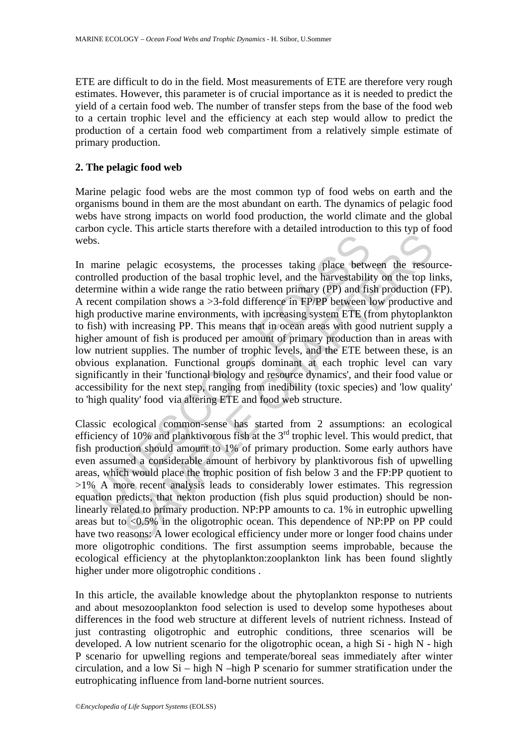ETE are difficult to do in the field. Most measurements of ETE are therefore very rough estimates. However, this parameter is of crucial importance as it is needed to predict the yield of a certain food web. The number of transfer steps from the base of the food web to a certain trophic level and the efficiency at each step would allow to predict the production of a certain food web compartiment from a relatively simple estimate of primary production.

#### **2. The pelagic food web**

Marine pelagic food webs are the most common typ of food webs on earth and the organisms bound in them are the most abundant on earth. The dynamics of pelagic food webs have strong impacts on world food production, the world climate and the global carbon cycle. This article starts therefore with a detailed introduction to this typ of food webs.

is.<br>
S.<br>
S.<br>
S.<br>
S.<br>
S.<br>
S.<br>
S.<br>
S. The production of the basal trophic level, and the harvestability<br>
rrmine within a wide range the ratio between primary (PP) and fisiment<br>
created compilation shows a >3-fold difference The and the based of the based of the processes taking place between the resourced<br>trial and the based rophic level, and the harvestability on the top list<br>infinition a wide range the ratio between primary (PP) and fish p In marine pelagic ecosystems, the processes taking place between the resourcecontrolled production of the basal trophic level, and the harvestability on the top links, determine within a wide range the ratio between primary (PP) and fish production (FP). A recent compilation shows a >3-fold difference in FP/PP between low productive and high productive marine environments, with increasing system ETE (from phytoplankton to fish) with increasing PP. This means that in ocean areas with good nutrient supply a higher amount of fish is produced per amount of primary production than in areas with low nutrient supplies. The number of trophic levels, and the ETE between these, is an obvious explanation. Functional groups dominant at each trophic level can vary significantly in their 'functional biology and resource dynamics', and their food value or accessibility for the next step, ranging from inedibility (toxic species) and 'low quality' to 'high quality' food via altering ETE and food web structure.

Classic ecological common-sense has started from 2 assumptions: an ecological efficiency of 10% and planktivorous fish at the 3<sup>rd</sup> trophic level. This would predict, that fish production should amount to 1% of primary production. Some early authors have even assumed a considerable amount of herbivory by planktivorous fish of upwelling areas, which would place the trophic position of fish below 3 and the FP:PP quotient to >1% A more recent analysis leads to considerably lower estimates. This regression equation predicts, that nekton production (fish plus squid production) should be nonlinearly related to primary production. NP:PP amounts to ca. 1% in eutrophic upwelling areas but to <0.5% in the oligotrophic ocean. This dependence of NP:PP on PP could have two reasons: A lower ecological efficiency under more or longer food chains under more oligotrophic conditions. The first assumption seems improbable, because the ecological efficiency at the phytoplankton:zooplankton link has been found slightly higher under more oligotrophic conditions .

In this article, the available knowledge about the phytoplankton response to nutrients and about mesozooplankton food selection is used to develop some hypotheses about differences in the food web structure at different levels of nutrient richness. Instead of just contrasting oligotrophic and eutrophic conditions, three scenarios will be developed. A low nutrient scenario for the oligotrophic ocean, a high Si - high N - high P scenario for upwelling regions and temperate/boreal seas immediately after winter circulation, and a low Si – high N –high P scenario for summer stratification under the eutrophicating influence from land-borne nutrient sources.